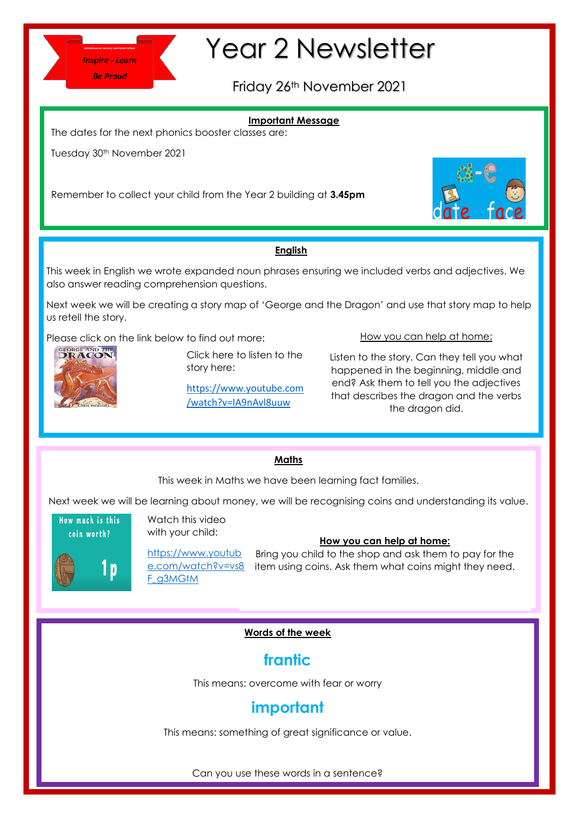

# Year 2 Newsletter

Friday 26th November 2021

# **Important Message**

The dates for the next phonics booster classes are:

Tuesday 30<sup>th</sup> November 2021

Remember to collect your child from the Year 2 building at **3.45pm**



# **English**

This week in English we wrote expanded noun phrases ensuring we included verbs and adjectives. We also answer reading comprehension questions.

Next week we will be creating a story map of 'George and the Dragon' and use that story map to help us retell the story.

Please click on the link below to find out more:



Click here to listen to the story here:

[https://www.youtube.com](https://www.youtube.com/watch?v=IA9nAvl8uuw) [/watch?v=IA9nAvl8uuw](https://www.youtube.com/watch?v=IA9nAvl8uuw)

How you can help at home:

Listen to the story. Can they tell you what happened in the beginning, middle and end? Ask them to tell you the adjectives that describes the dragon and the verbs the dragon did.

## **Maths**

This week in Maths we have been learning fact families.

Next week we will be learning about money, we will be recognising coins and understanding its value.



Watch this video with your child:

[https://www.youtub](https://www.youtube.com/watch?v=vs8F_g3MGtM) [e.com/watch?v=vs8](https://www.youtube.com/watch?v=vs8F_g3MGtM) [F\\_g3MGtM](https://www.youtube.com/watch?v=vs8F_g3MGtM)

# **How you can help at home:**

Bring you child to the shop and ask them to pay for the item using coins. Ask them what coins might they need.

## **Words of the week**

# **frantic**

This means: overcome with fear or worry

# **important**

This means: something of great significance or value.

Can you use these words in a sentence?